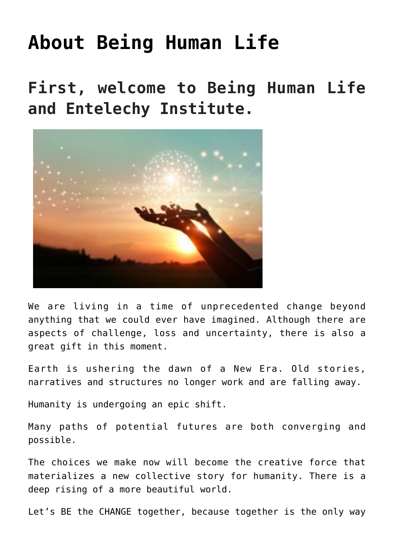# **[About Being Human Life](https://beinghumanlife.com/about-being-human-life/)**

**First, welcome to Being Human Life and Entelechy Institute.**



We are living in a time of unprecedented change beyond anything that we could ever have imagined. Although there are aspects of challenge, loss and uncertainty, there is also a great gift in this moment.

Earth is ushering the dawn of a New Era. Old stories, narratives and structures no longer work and are falling away.

Humanity is undergoing an epic shift.

Many paths of potential futures are both converging and possible.

The choices we make now will become the creative force that materializes a new collective story for humanity. There is a deep rising of a more beautiful world.

Let's BE the CHANGE together, because together is the only way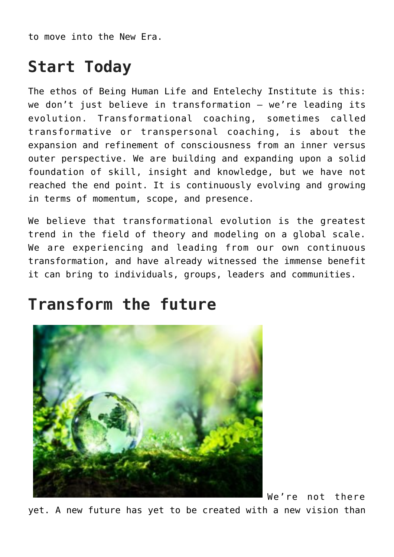to move into the New Era.

### **Start Today**

The ethos of Being Human Life and Entelechy Institute is this: we don't just believe in transformation – we're leading its evolution. Transformational coaching, sometimes called transformative or transpersonal coaching, is about the expansion and refinement of consciousness from an inner versus outer perspective. We are building and expanding upon a solid foundation of skill, insight and knowledge, but we have not reached the end point. It is continuously evolving and growing in terms of momentum, scope, and presence.

We believe that transformational evolution is the greatest trend in the field of theory and modeling on a global scale. We are experiencing and leading from our own continuous transformation, and have already witnessed the immense benefit it can bring to individuals, groups, leaders and communities.

### **Transform the future**



We're not there

yet. A new future has yet to be created with a new vision than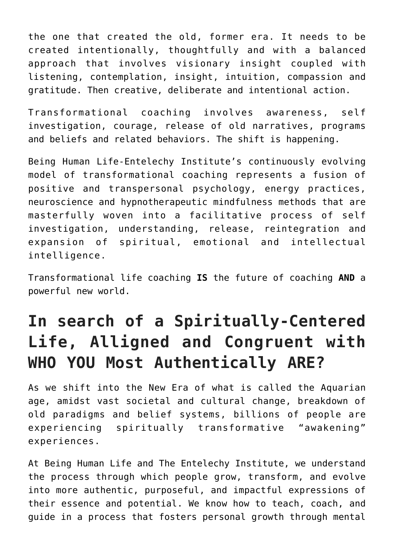the one that created the old, former era. It needs to be created intentionally, thoughtfully and with a balanced approach that involves visionary insight coupled with listening, contemplation, insight, intuition, compassion and gratitude. Then creative, deliberate and intentional action.

Transformational coaching involves awareness, self investigation, courage, release of old narratives, programs and beliefs and related behaviors. The shift is happening.

Being Human Life-Entelechy Institute's continuously evolving model of transformational coaching represents a fusion of positive and transpersonal psychology, energy practices, neuroscience and hypnotherapeutic mindfulness methods that are masterfully woven into a facilitative process of self investigation, understanding, release, reintegration and expansion of spiritual, emotional and intellectual intelligence.

Transformational life coaching **IS** the future of coaching **AND** a powerful new world.

## **In search of a Spiritually-Centered Life, Alligned and Congruent with WHO YOU Most Authentically ARE?**

As we shift into the New Era of what is called the Aquarian age, amidst vast societal and cultural change, breakdown of old paradigms and belief systems, billions of people are experiencing spiritually transformative "awakening" experiences.

At Being Human Life and The Entelechy Institute, we understand the process through which people grow, transform, and evolve into more authentic, purposeful, and impactful expressions of their essence and potential. We know how to teach, coach, and guide in a process that fosters personal growth through mental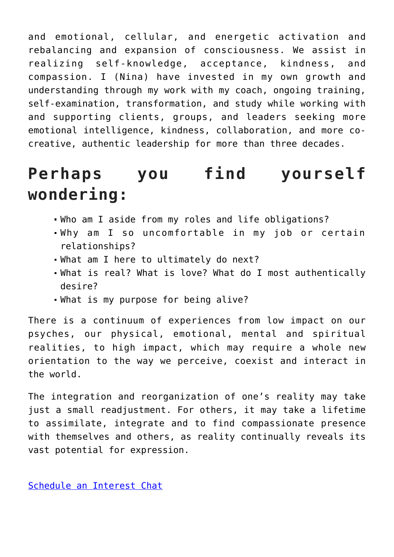and emotional, cellular, and energetic activation and rebalancing and expansion of consciousness. We assist in realizing self-knowledge, acceptance, kindness, and compassion. I (Nina) have invested in my own growth and understanding through my work with my coach, ongoing training, self-examination, transformation, and study while working with and supporting clients, groups, and leaders seeking more emotional intelligence, kindness, collaboration, and more cocreative, authentic leadership for more than three decades.

### **Perhaps you find yourself wondering:**

- Who am I aside from my roles and life obligations?
- Why am I so uncomfortable in my job or certain relationships?
- What am I here to ultimately do next?
- What is real? What is love? What do I most authentically desire?
- What is my purpose for being alive?

There is a continuum of experiences from low impact on our psyches, our physical, emotional, mental and spiritual realities, to high impact, which may require a whole new orientation to the way we perceive, coexist and interact in the world.

The integration and reorganization of one's reality may take just a small readjustment. For others, it may take a lifetime to assimilate, integrate and to find compassionate presence with themselves and others, as reality continually reveals its vast potential for expression.

[Schedule an Interest Chat](http://beinghumanlife.com/contact/)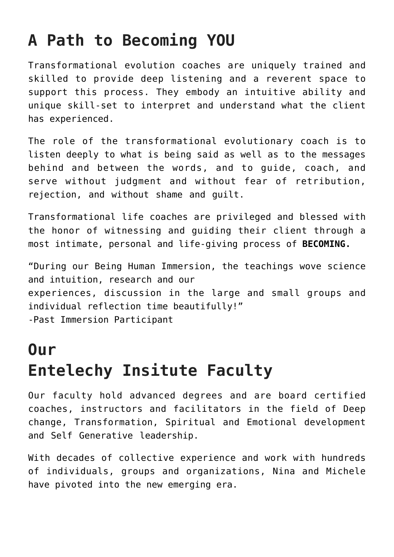## **A Path to Becoming YOU**

Transformational evolution coaches are uniquely trained and skilled to provide deep listening and a reverent space to support this process. They embody an intuitive ability and unique skill-set to interpret and understand what the client has experienced.

The role of the transformational evolutionary coach is to listen deeply to what is being said as well as to the messages behind and between the words, and to guide, coach, and serve without judgment and without fear of retribution, rejection, and without shame and guilt.

Transformational life coaches are privileged and blessed with the honor of witnessing and guiding their client through a most intimate, personal and life-giving process of **BECOMING.**

"During our Being Human Immersion, the teachings wove science and intuition, research and our experiences, discussion in the large and small groups and individual reflection time beautifully!" -Past Immersion Participant

## **Our Entelechy Insitute Faculty**

Our faculty hold advanced degrees and are board certified coaches, instructors and facilitators in the field of Deep change, Transformation, Spiritual and Emotional development and Self Generative leadership.

With decades of collective experience and work with hundreds of individuals, groups and organizations, Nina and Michele have pivoted into the new emerging era.